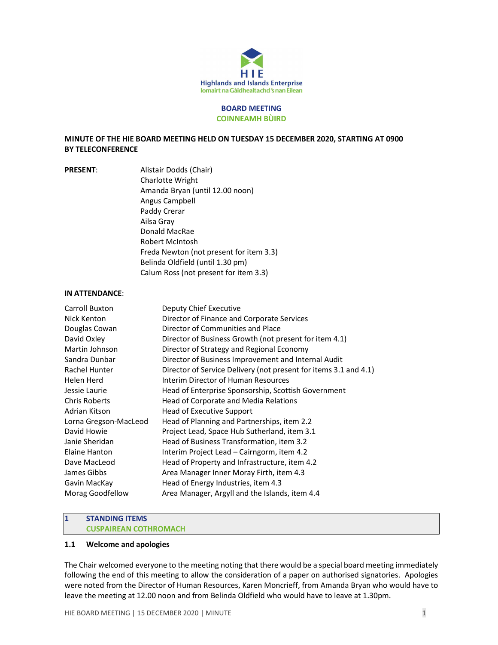

#### BOARD MEETING COINNEAMH BÙIRD

# MINUTE OF THE HIE BOARD MEETING HELD ON TUESDAY 15 DECEMBER 2020, STARTING AT 0900 BY TELECONFERENCE

PRESENT: Alistair Dodds (Chair) Charlotte Wright Amanda Bryan (until 12.00 noon) Angus Campbell Paddy Crerar Ailsa Gray Donald MacRae Robert McIntosh Freda Newton (not present for item 3.3) Belinda Oldfield (until 1.30 pm) Calum Ross (not present for item 3.3)

#### IN ATTENDANCE:

| Carroll Buxton        | Deputy Chief Executive                                           |
|-----------------------|------------------------------------------------------------------|
| Nick Kenton           | Director of Finance and Corporate Services                       |
| Douglas Cowan         | Director of Communities and Place                                |
| David Oxley           | Director of Business Growth (not present for item 4.1)           |
| Martin Johnson        | Director of Strategy and Regional Economy                        |
| Sandra Dunbar         | Director of Business Improvement and Internal Audit              |
| Rachel Hunter         | Director of Service Delivery (not present for items 3.1 and 4.1) |
| Helen Herd            | Interim Director of Human Resources                              |
| Jessie Laurie         | Head of Enterprise Sponsorship, Scottish Government              |
| <b>Chris Roberts</b>  | Head of Corporate and Media Relations                            |
| Adrian Kitson         | Head of Executive Support                                        |
| Lorna Gregson-MacLeod | Head of Planning and Partnerships, item 2.2                      |
| David Howie           | Project Lead, Space Hub Sutherland, item 3.1                     |
| Janie Sheridan        | Head of Business Transformation, item 3.2                        |
| Elaine Hanton         | Interim Project Lead – Cairngorm, item 4.2                       |
| Dave MacLeod          | Head of Property and Infrastructure, item 4.2                    |
| James Gibbs           | Area Manager Inner Moray Firth, item 4.3                         |
| Gavin MacKay          | Head of Energy Industries, item 4.3                              |
| Morag Goodfellow      | Area Manager, Argyll and the Islands, item 4.4                   |
|                       |                                                                  |

# 1 STANDING ITEMS

# CUSPAIREAN COTHROMACH

# 1.1 Welcome and apologies

The Chair welcomed everyone to the meeting noting that there would be a special board meeting immediately following the end of this meeting to allow the consideration of a paper on authorised signatories. Apologies were noted from the Director of Human Resources, Karen Moncrieff, from Amanda Bryan who would have to leave the meeting at 12.00 noon and from Belinda Oldfield who would have to leave at 1.30pm.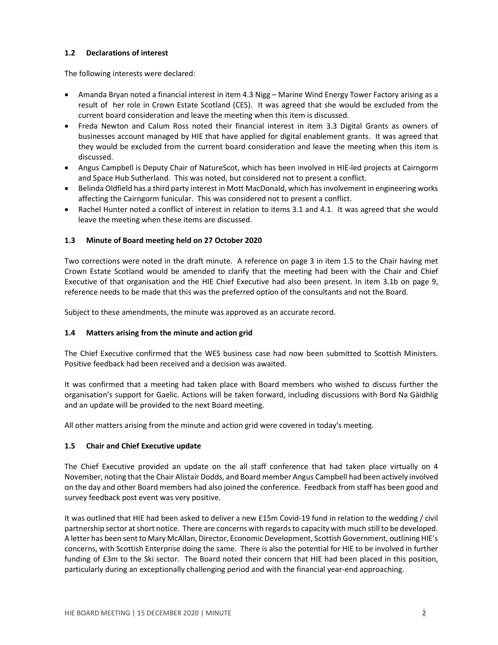# 1.2 Declarations of interest

The following interests were declared:

- Amanda Bryan noted a financial interest in item 4.3 Nigg Marine Wind Energy Tower Factory arising as a result of her role in Crown Estate Scotland (CES). It was agreed that she would be excluded from the current board consideration and leave the meeting when this item is discussed.
- Freda Newton and Calum Ross noted their financial interest in item 3.3 Digital Grants as owners of businesses account managed by HIE that have applied for digital enablement grants. It was agreed that they would be excluded from the current board consideration and leave the meeting when this item is discussed.
- Angus Campbell is Deputy Chair of NatureScot, which has been involved in HIE-led projects at Cairngorm and Space Hub Sutherland. This was noted, but considered not to present a conflict.
- Belinda Oldfield has a third party interest in Mott MacDonald, which has involvement in engineering works affecting the Cairngorm funicular. This was considered not to present a conflict.
- Rachel Hunter noted a conflict of interest in relation to items 3.1 and 4.1. It was agreed that she would leave the meeting when these items are discussed.

# 1.3 Minute of Board meeting held on 27 October 2020

Two corrections were noted in the draft minute. A reference on page 3 in item 1.5 to the Chair having met Crown Estate Scotland would be amended to clarify that the meeting had been with the Chair and Chief Executive of that organisation and the HIE Chief Executive had also been present. In item 3.1b on page 9, reference needs to be made that this was the preferred option of the consultants and not the Board.

Subject to these amendments, the minute was approved as an accurate record.

## 1.4 Matters arising from the minute and action grid

The Chief Executive confirmed that the WES business case had now been submitted to Scottish Ministers. Positive feedback had been received and a decision was awaited.

It was confirmed that a meeting had taken place with Board members who wished to discuss further the organisation's support for Gaelic. Actions will be taken forward, including discussions with Bord Na Gàidhlig and an update will be provided to the next Board meeting.

All other matters arising from the minute and action grid were covered in today's meeting.

## 1.5 Chair and Chief Executive update

The Chief Executive provided an update on the all staff conference that had taken place virtually on 4 November, noting that the Chair Alistair Dodds, and Board member Angus Campbell had been actively involved on the day and other Board members had also joined the conference. Feedback from staff has been good and survey feedback post event was very positive.

It was outlined that HIE had been asked to deliver a new £15m Covid-19 fund in relation to the wedding / civil partnership sector at short notice. There are concerns with regards to capacity with much still to be developed. A letter has been sent to Mary McAllan, Director, Economic Development, Scottish Government, outlining HIE's concerns, with Scottish Enterprise doing the same. There is also the potential for HIE to be involved in further funding of £3m to the Ski sector. The Board noted their concern that HIE had been placed in this position, particularly during an exceptionally challenging period and with the financial year-end approaching.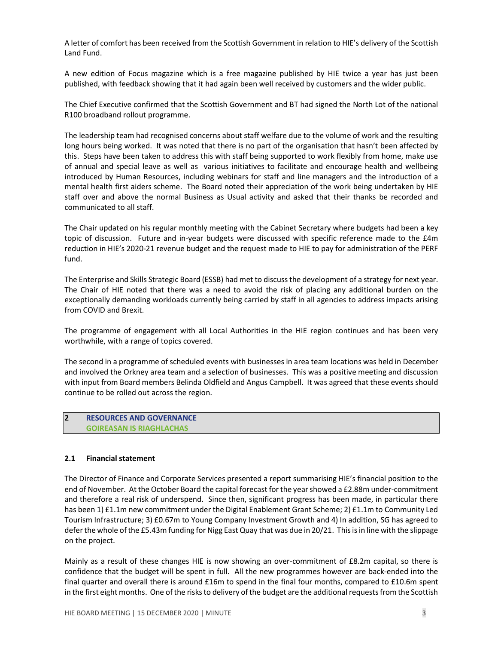A letter of comfort has been received from the Scottish Government in relation to HIE's delivery of the Scottish Land Fund.

A new edition of Focus magazine which is a free magazine published by HIE twice a year has just been published, with feedback showing that it had again been well received by customers and the wider public.

The Chief Executive confirmed that the Scottish Government and BT had signed the North Lot of the national R100 broadband rollout programme.

The leadership team had recognised concerns about staff welfare due to the volume of work and the resulting long hours being worked. It was noted that there is no part of the organisation that hasn't been affected by this. Steps have been taken to address this with staff being supported to work flexibly from home, make use of annual and special leave as well as various initiatives to facilitate and encourage health and wellbeing introduced by Human Resources, including webinars for staff and line managers and the introduction of a mental health first aiders scheme. The Board noted their appreciation of the work being undertaken by HIE staff over and above the normal Business as Usual activity and asked that their thanks be recorded and communicated to all staff.

The Chair updated on his regular monthly meeting with the Cabinet Secretary where budgets had been a key topic of discussion. Future and in-year budgets were discussed with specific reference made to the £4m reduction in HIE's 2020-21 revenue budget and the request made to HIE to pay for administration of the PERF fund.

The Enterprise and Skills Strategic Board (ESSB) had met to discuss the development of a strategy for next year. The Chair of HIE noted that there was a need to avoid the risk of placing any additional burden on the exceptionally demanding workloads currently being carried by staff in all agencies to address impacts arising from COVID and Brexit.

The programme of engagement with all Local Authorities in the HIE region continues and has been very worthwhile, with a range of topics covered.

The second in a programme of scheduled events with businesses in area team locations was held in December and involved the Orkney area team and a selection of businesses. This was a positive meeting and discussion with input from Board members Belinda Oldfield and Angus Campbell. It was agreed that these events should continue to be rolled out across the region.

# 2 RESOURCES AND GOVERNANCE GOIREASAN IS RIAGHLACHAS

## 2.1 Financial statement

The Director of Finance and Corporate Services presented a report summarising HIE's financial position to the end of November. At the October Board the capital forecast for the year showed a £2.88m under-commitment and therefore a real risk of underspend. Since then, significant progress has been made, in particular there has been 1) £1.1m new commitment under the Digital Enablement Grant Scheme; 2) £1.1m to Community Led Tourism Infrastructure; 3) £0.67m to Young Company Investment Growth and 4) In addition, SG has agreed to defer the whole of the £5.43m funding for Nigg East Quay that was due in 20/21. This is in line with the slippage on the project.

Mainly as a result of these changes HIE is now showing an over-commitment of £8.2m capital, so there is confidence that the budget will be spent in full. All the new programmes however are back-ended into the final quarter and overall there is around £16m to spend in the final four months, compared to £10.6m spent in the first eight months. One of the risks to delivery of the budget are the additional requests from the Scottish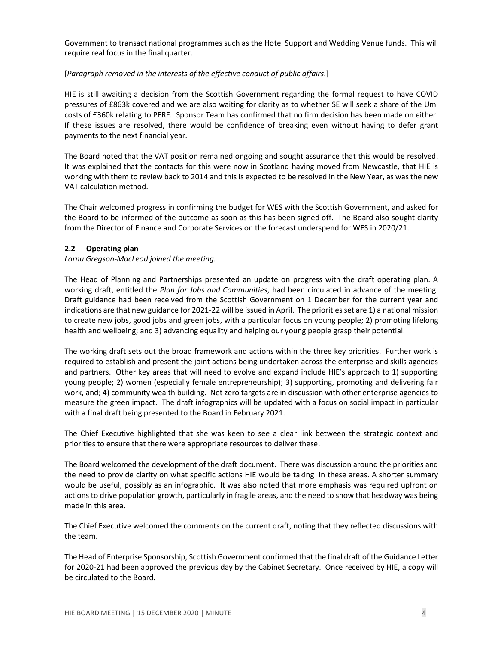Government to transact national programmes such as the Hotel Support and Wedding Venue funds. This will require real focus in the final quarter.

# [Paragraph removed in the interests of the effective conduct of public affairs.]

HIE is still awaiting a decision from the Scottish Government regarding the formal request to have COVID pressures of £863k covered and we are also waiting for clarity as to whether SE will seek a share of the Umi costs of £360k relating to PERF. Sponsor Team has confirmed that no firm decision has been made on either. If these issues are resolved, there would be confidence of breaking even without having to defer grant payments to the next financial year.

The Board noted that the VAT position remained ongoing and sought assurance that this would be resolved. It was explained that the contacts for this were now in Scotland having moved from Newcastle, that HIE is working with them to review back to 2014 and this is expected to be resolved in the New Year, as was the new VAT calculation method.

The Chair welcomed progress in confirming the budget for WES with the Scottish Government, and asked for the Board to be informed of the outcome as soon as this has been signed off. The Board also sought clarity from the Director of Finance and Corporate Services on the forecast underspend for WES in 2020/21.

# 2.2 Operating plan

# Lorna Gregson-MacLeod joined the meeting.

The Head of Planning and Partnerships presented an update on progress with the draft operating plan. A working draft, entitled the Plan for Jobs and Communities, had been circulated in advance of the meeting. Draft guidance had been received from the Scottish Government on 1 December for the current year and indications are that new guidance for 2021-22 will be issued in April. The priorities set are 1) a national mission to create new jobs, good jobs and green jobs, with a particular focus on young people; 2) promoting lifelong health and wellbeing; and 3) advancing equality and helping our young people grasp their potential.

The working draft sets out the broad framework and actions within the three key priorities. Further work is required to establish and present the joint actions being undertaken across the enterprise and skills agencies and partners. Other key areas that will need to evolve and expand include HIE's approach to 1) supporting young people; 2) women (especially female entrepreneurship); 3) supporting, promoting and delivering fair work, and; 4) community wealth building. Net zero targets are in discussion with other enterprise agencies to measure the green impact. The draft infographics will be updated with a focus on social impact in particular with a final draft being presented to the Board in February 2021.

The Chief Executive highlighted that she was keen to see a clear link between the strategic context and priorities to ensure that there were appropriate resources to deliver these.

The Board welcomed the development of the draft document. There was discussion around the priorities and the need to provide clarity on what specific actions HIE would be taking in these areas. A shorter summary would be useful, possibly as an infographic. It was also noted that more emphasis was required upfront on actions to drive population growth, particularly in fragile areas, and the need to show that headway was being made in this area.

The Chief Executive welcomed the comments on the current draft, noting that they reflected discussions with the team.

The Head of Enterprise Sponsorship, Scottish Government confirmed that the final draft of the Guidance Letter for 2020-21 had been approved the previous day by the Cabinet Secretary. Once received by HIE, a copy will be circulated to the Board.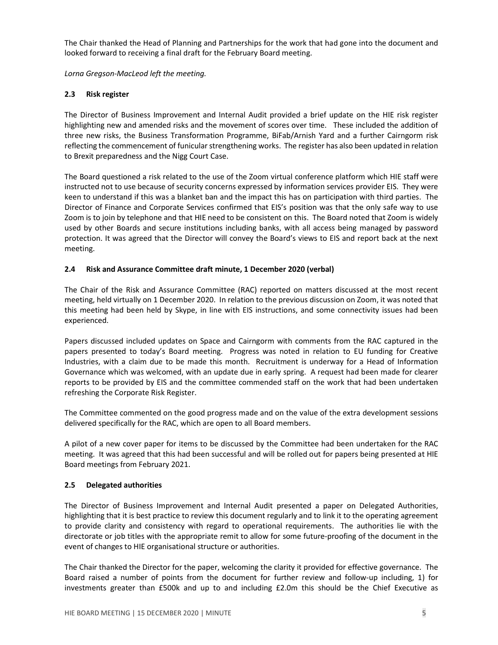The Chair thanked the Head of Planning and Partnerships for the work that had gone into the document and looked forward to receiving a final draft for the February Board meeting.

Lorna Gregson-MacLeod left the meeting.

# 2.3 Risk register

The Director of Business Improvement and Internal Audit provided a brief update on the HIE risk register highlighting new and amended risks and the movement of scores over time. These included the addition of three new risks, the Business Transformation Programme, BiFab/Arnish Yard and a further Cairngorm risk reflecting the commencement of funicular strengthening works. The register has also been updated in relation to Brexit preparedness and the Nigg Court Case.

The Board questioned a risk related to the use of the Zoom virtual conference platform which HIE staff were instructed not to use because of security concerns expressed by information services provider EIS. They were keen to understand if this was a blanket ban and the impact this has on participation with third parties. The Director of Finance and Corporate Services confirmed that EIS's position was that the only safe way to use Zoom is to join by telephone and that HIE need to be consistent on this. The Board noted that Zoom is widely used by other Boards and secure institutions including banks, with all access being managed by password protection. It was agreed that the Director will convey the Board's views to EIS and report back at the next meeting.

# 2.4 Risk and Assurance Committee draft minute, 1 December 2020 (verbal)

The Chair of the Risk and Assurance Committee (RAC) reported on matters discussed at the most recent meeting, held virtually on 1 December 2020. In relation to the previous discussion on Zoom, it was noted that this meeting had been held by Skype, in line with EIS instructions, and some connectivity issues had been experienced.

Papers discussed included updates on Space and Cairngorm with comments from the RAC captured in the papers presented to today's Board meeting. Progress was noted in relation to EU funding for Creative Industries, with a claim due to be made this month. Recruitment is underway for a Head of Information Governance which was welcomed, with an update due in early spring. A request had been made for clearer reports to be provided by EIS and the committee commended staff on the work that had been undertaken refreshing the Corporate Risk Register.

The Committee commented on the good progress made and on the value of the extra development sessions delivered specifically for the RAC, which are open to all Board members.

A pilot of a new cover paper for items to be discussed by the Committee had been undertaken for the RAC meeting. It was agreed that this had been successful and will be rolled out for papers being presented at HIE Board meetings from February 2021.

# 2.5 Delegated authorities

The Director of Business Improvement and Internal Audit presented a paper on Delegated Authorities, highlighting that it is best practice to review this document regularly and to link it to the operating agreement to provide clarity and consistency with regard to operational requirements. The authorities lie with the directorate or job titles with the appropriate remit to allow for some future-proofing of the document in the event of changes to HIE organisational structure or authorities.

The Chair thanked the Director for the paper, welcoming the clarity it provided for effective governance. The Board raised a number of points from the document for further review and follow-up including, 1) for investments greater than £500k and up to and including £2.0m this should be the Chief Executive as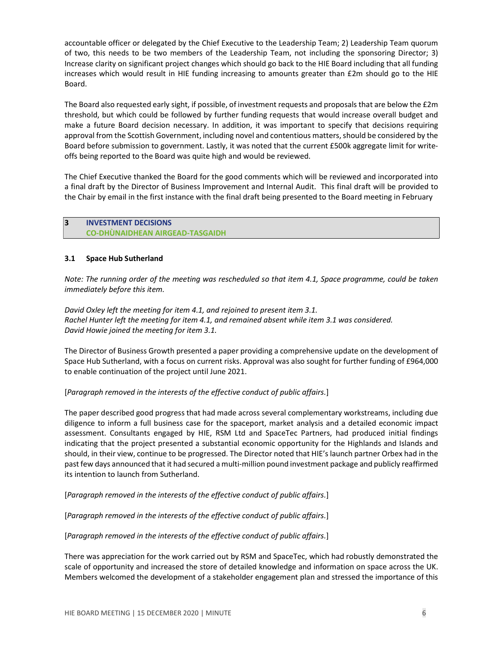accountable officer or delegated by the Chief Executive to the Leadership Team; 2) Leadership Team quorum of two, this needs to be two members of the Leadership Team, not including the sponsoring Director; 3) Increase clarity on significant project changes which should go back to the HIE Board including that all funding increases which would result in HIE funding increasing to amounts greater than £2m should go to the HIE Board.

The Board also requested early sight, if possible, of investment requests and proposals that are below the £2m threshold, but which could be followed by further funding requests that would increase overall budget and make a future Board decision necessary. In addition, it was important to specify that decisions requiring approval from the Scottish Government, including novel and contentious matters, should be considered by the Board before submission to government. Lastly, it was noted that the current £500k aggregate limit for writeoffs being reported to the Board was quite high and would be reviewed.

The Chief Executive thanked the Board for the good comments which will be reviewed and incorporated into a final draft by the Director of Business Improvement and Internal Audit. This final draft will be provided to the Chair by email in the first instance with the final draft being presented to the Board meeting in February

# 3 INVESTMENT DECISIONS CO-DHÙNAIDHEAN AIRGEAD-TASGAIDH

# 3.1 Space Hub Sutherland

Note: The running order of the meeting was rescheduled so that item 4.1, Space programme, could be taken immediately before this item.

David Oxley left the meeting for item 4.1, and rejoined to present item 3.1. Rachel Hunter left the meeting for item 4.1, and remained absent while item 3.1 was considered. David Howie joined the meeting for item 3.1.

The Director of Business Growth presented a paper providing a comprehensive update on the development of Space Hub Sutherland, with a focus on current risks. Approval was also sought for further funding of £964,000 to enable continuation of the project until June 2021.

# [Paragraph removed in the interests of the effective conduct of public affairs.]

The paper described good progress that had made across several complementary workstreams, including due diligence to inform a full business case for the spaceport, market analysis and a detailed economic impact assessment. Consultants engaged by HIE, RSM Ltd and SpaceTec Partners, had produced initial findings indicating that the project presented a substantial economic opportunity for the Highlands and Islands and should, in their view, continue to be progressed. The Director noted that HIE's launch partner Orbex had in the past few days announced that it had secured a multi-million pound investment package and publicly reaffirmed its intention to launch from Sutherland.

[Paragraph removed in the interests of the effective conduct of public affairs.]

[Paragraph removed in the interests of the effective conduct of public affairs.]

[Paragraph removed in the interests of the effective conduct of public affairs.]

There was appreciation for the work carried out by RSM and SpaceTec, which had robustly demonstrated the scale of opportunity and increased the store of detailed knowledge and information on space across the UK. Members welcomed the development of a stakeholder engagement plan and stressed the importance of this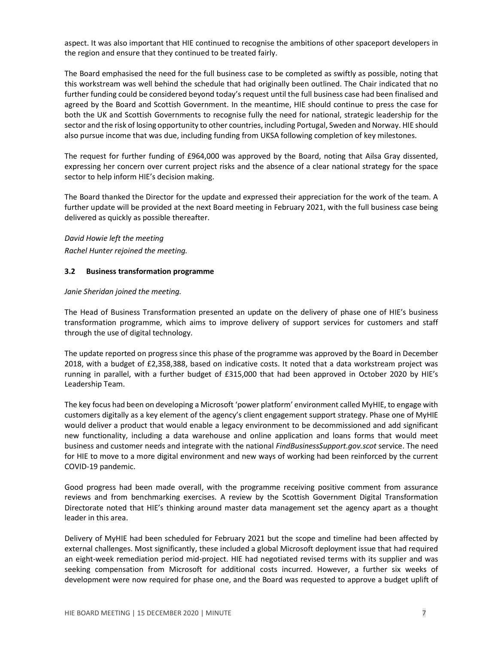aspect. It was also important that HIE continued to recognise the ambitions of other spaceport developers in the region and ensure that they continued to be treated fairly.

The Board emphasised the need for the full business case to be completed as swiftly as possible, noting that this workstream was well behind the schedule that had originally been outlined. The Chair indicated that no further funding could be considered beyond today's request until the full business case had been finalised and agreed by the Board and Scottish Government. In the meantime, HIE should continue to press the case for both the UK and Scottish Governments to recognise fully the need for national, strategic leadership for the sector and the risk of losing opportunity to other countries, including Portugal, Sweden and Norway. HIE should also pursue income that was due, including funding from UKSA following completion of key milestones.

The request for further funding of £964,000 was approved by the Board, noting that Ailsa Gray dissented, expressing her concern over current project risks and the absence of a clear national strategy for the space sector to help inform HIE's decision making.

The Board thanked the Director for the update and expressed their appreciation for the work of the team. A further update will be provided at the next Board meeting in February 2021, with the full business case being delivered as quickly as possible thereafter.

David Howie left the meeting Rachel Hunter rejoined the meeting.

#### 3.2 Business transformation programme

#### Janie Sheridan joined the meeting.

The Head of Business Transformation presented an update on the delivery of phase one of HIE's business transformation programme, which aims to improve delivery of support services for customers and staff through the use of digital technology.

The update reported on progress since this phase of the programme was approved by the Board in December 2018, with a budget of £2,358,388, based on indicative costs. It noted that a data workstream project was running in parallel, with a further budget of £315,000 that had been approved in October 2020 by HIE's Leadership Team.

The key focus had been on developing a Microsoft 'power platform' environment called MyHIE, to engage with customers digitally as a key element of the agency's client engagement support strategy. Phase one of MyHIE would deliver a product that would enable a legacy environment to be decommissioned and add significant new functionality, including a data warehouse and online application and loans forms that would meet business and customer needs and integrate with the national FindBusinessSupport.gov.scot service. The need for HIE to move to a more digital environment and new ways of working had been reinforced by the current COVID-19 pandemic.

Good progress had been made overall, with the programme receiving positive comment from assurance reviews and from benchmarking exercises. A review by the Scottish Government Digital Transformation Directorate noted that HIE's thinking around master data management set the agency apart as a thought leader in this area.

Delivery of MyHIE had been scheduled for February 2021 but the scope and timeline had been affected by external challenges. Most significantly, these included a global Microsoft deployment issue that had required an eight-week remediation period mid-project. HIE had negotiated revised terms with its supplier and was seeking compensation from Microsoft for additional costs incurred. However, a further six weeks of development were now required for phase one, and the Board was requested to approve a budget uplift of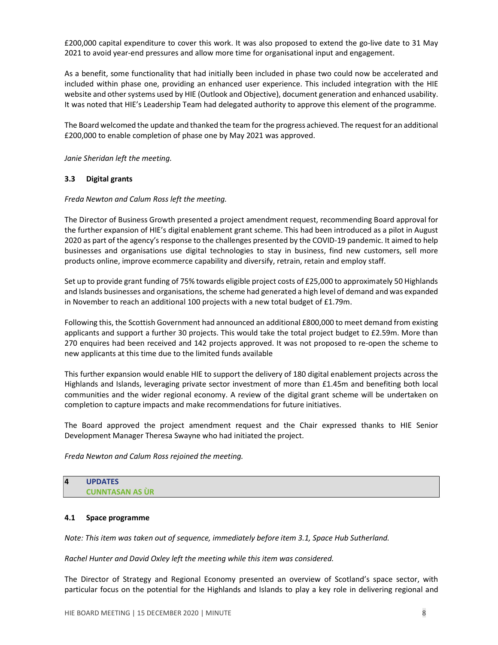£200,000 capital expenditure to cover this work. It was also proposed to extend the go-live date to 31 May 2021 to avoid year-end pressures and allow more time for organisational input and engagement.

As a benefit, some functionality that had initially been included in phase two could now be accelerated and included within phase one, providing an enhanced user experience. This included integration with the HIE website and other systems used by HIE (Outlook and Objective), document generation and enhanced usability. It was noted that HIE's Leadership Team had delegated authority to approve this element of the programme.

The Board welcomed the update and thanked the team for the progress achieved. The request for an additional £200,000 to enable completion of phase one by May 2021 was approved.

Janie Sheridan left the meeting.

## 3.3 Digital grants

#### Freda Newton and Calum Ross left the meeting.

The Director of Business Growth presented a project amendment request, recommending Board approval for the further expansion of HIE's digital enablement grant scheme. This had been introduced as a pilot in August 2020 as part of the agency's response to the challenges presented by the COVID-19 pandemic. It aimed to help businesses and organisations use digital technologies to stay in business, find new customers, sell more products online, improve ecommerce capability and diversify, retrain, retain and employ staff.

Set up to provide grant funding of 75% towards eligible project costs of £25,000 to approximately 50 Highlands and Islands businesses and organisations, the scheme had generated a high level of demand and was expanded in November to reach an additional 100 projects with a new total budget of £1.79m.

Following this, the Scottish Government had announced an additional £800,000 to meet demand from existing applicants and support a further 30 projects. This would take the total project budget to £2.59m. More than 270 enquires had been received and 142 projects approved. It was not proposed to re-open the scheme to new applicants at this time due to the limited funds available

This further expansion would enable HIE to support the delivery of 180 digital enablement projects across the Highlands and Islands, leveraging private sector investment of more than £1.45m and benefiting both local communities and the wider regional economy. A review of the digital grant scheme will be undertaken on completion to capture impacts and make recommendations for future initiatives.

The Board approved the project amendment request and the Chair expressed thanks to HIE Senior Development Manager Theresa Swayne who had initiated the project.

Freda Newton and Calum Ross rejoined the meeting.

# 4 UPDATES CUNNTASAN AS ÙR

## 4.1 Space programme

Note: This item was taken out of sequence, immediately before item 3.1, Space Hub Sutherland.

Rachel Hunter and David Oxley left the meeting while this item was considered.

The Director of Strategy and Regional Economy presented an overview of Scotland's space sector, with particular focus on the potential for the Highlands and Islands to play a key role in delivering regional and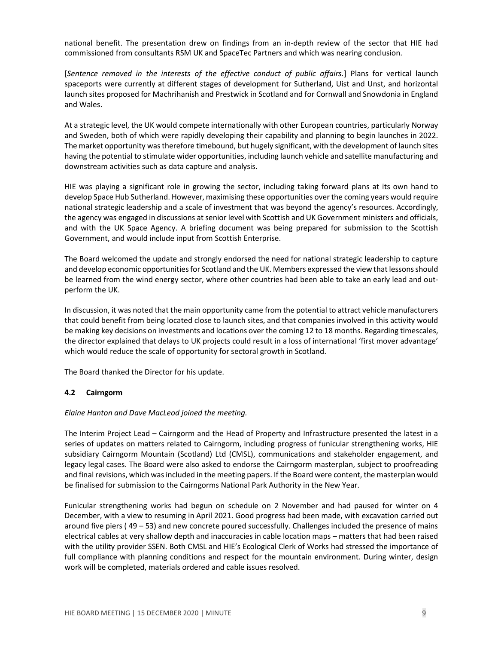national benefit. The presentation drew on findings from an in-depth review of the sector that HIE had commissioned from consultants RSM UK and SpaceTec Partners and which was nearing conclusion.

[Sentence removed in the interests of the effective conduct of public affairs.] Plans for vertical launch spaceports were currently at different stages of development for Sutherland, Uist and Unst, and horizontal launch sites proposed for Machrihanish and Prestwick in Scotland and for Cornwall and Snowdonia in England and Wales.

At a strategic level, the UK would compete internationally with other European countries, particularly Norway and Sweden, both of which were rapidly developing their capability and planning to begin launches in 2022. The market opportunity was therefore timebound, but hugely significant, with the development of launch sites having the potential to stimulate wider opportunities, including launch vehicle and satellite manufacturing and downstream activities such as data capture and analysis.

HIE was playing a significant role in growing the sector, including taking forward plans at its own hand to develop Space Hub Sutherland. However, maximising these opportunities over the coming years would require national strategic leadership and a scale of investment that was beyond the agency's resources. Accordingly, the agency was engaged in discussions at senior level with Scottish and UK Government ministers and officials, and with the UK Space Agency. A briefing document was being prepared for submission to the Scottish Government, and would include input from Scottish Enterprise.

The Board welcomed the update and strongly endorsed the need for national strategic leadership to capture and develop economic opportunities for Scotland and the UK. Members expressed the view that lessons should be learned from the wind energy sector, where other countries had been able to take an early lead and outperform the UK.

In discussion, it was noted that the main opportunity came from the potential to attract vehicle manufacturers that could benefit from being located close to launch sites, and that companies involved in this activity would be making key decisions on investments and locations over the coming 12 to 18 months. Regarding timescales, the director explained that delays to UK projects could result in a loss of international 'first mover advantage' which would reduce the scale of opportunity for sectoral growth in Scotland.

The Board thanked the Director for his update.

## 4.2 Cairngorm

## Elaine Hanton and Dave MacLeod joined the meeting.

The Interim Project Lead – Cairngorm and the Head of Property and Infrastructure presented the latest in a series of updates on matters related to Cairngorm, including progress of funicular strengthening works, HIE subsidiary Cairngorm Mountain (Scotland) Ltd (CMSL), communications and stakeholder engagement, and legacy legal cases. The Board were also asked to endorse the Cairngorm masterplan, subject to proofreading and final revisions, which was included in the meeting papers. If the Board were content, the masterplan would be finalised for submission to the Cairngorms National Park Authority in the New Year.

Funicular strengthening works had begun on schedule on 2 November and had paused for winter on 4 December, with a view to resuming in April 2021. Good progress had been made, with excavation carried out around five piers ( 49 – 53) and new concrete poured successfully. Challenges included the presence of mains electrical cables at very shallow depth and inaccuracies in cable location maps – matters that had been raised with the utility provider SSEN. Both CMSL and HIE's Ecological Clerk of Works had stressed the importance of full compliance with planning conditions and respect for the mountain environment. During winter, design work will be completed, materials ordered and cable issues resolved.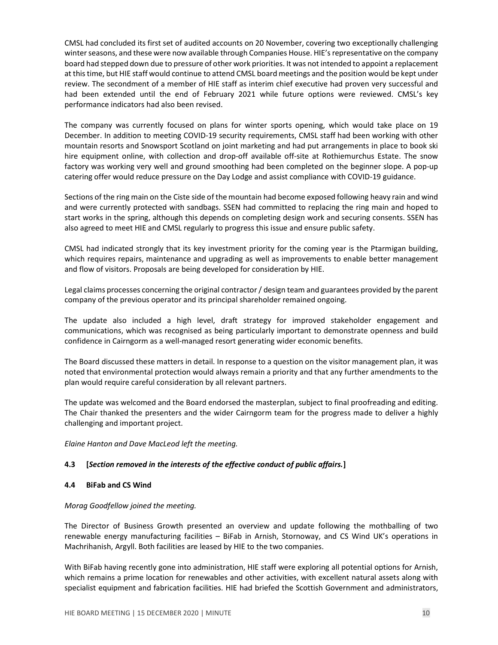CMSL had concluded its first set of audited accounts on 20 November, covering two exceptionally challenging winter seasons, and these were now available through Companies House. HIE's representative on the company board had stepped down due to pressure of other work priorities. It was not intended to appoint a replacement at this time, but HIE staff would continue to attend CMSL board meetings and the position would be kept under review. The secondment of a member of HIE staff as interim chief executive had proven very successful and had been extended until the end of February 2021 while future options were reviewed. CMSL's key performance indicators had also been revised.

The company was currently focused on plans for winter sports opening, which would take place on 19 December. In addition to meeting COVID-19 security requirements, CMSL staff had been working with other mountain resorts and Snowsport Scotland on joint marketing and had put arrangements in place to book ski hire equipment online, with collection and drop-off available off-site at Rothiemurchus Estate. The snow factory was working very well and ground smoothing had been completed on the beginner slope. A pop-up catering offer would reduce pressure on the Day Lodge and assist compliance with COVID-19 guidance.

Sections of the ring main on the Ciste side of the mountain had become exposed following heavy rain and wind and were currently protected with sandbags. SSEN had committed to replacing the ring main and hoped to start works in the spring, although this depends on completing design work and securing consents. SSEN has also agreed to meet HIE and CMSL regularly to progress this issue and ensure public safety.

CMSL had indicated strongly that its key investment priority for the coming year is the Ptarmigan building, which requires repairs, maintenance and upgrading as well as improvements to enable better management and flow of visitors. Proposals are being developed for consideration by HIE.

Legal claims processes concerning the original contractor / design team and guarantees provided by the parent company of the previous operator and its principal shareholder remained ongoing.

The update also included a high level, draft strategy for improved stakeholder engagement and communications, which was recognised as being particularly important to demonstrate openness and build confidence in Cairngorm as a well-managed resort generating wider economic benefits.

The Board discussed these matters in detail. In response to a question on the visitor management plan, it was noted that environmental protection would always remain a priority and that any further amendments to the plan would require careful consideration by all relevant partners.

The update was welcomed and the Board endorsed the masterplan, subject to final proofreading and editing. The Chair thanked the presenters and the wider Cairngorm team for the progress made to deliver a highly challenging and important project.

Elaine Hanton and Dave MacLeod left the meeting.

## 4.3 [Section removed in the interests of the effective conduct of public affairs.]

## 4.4 BiFab and CS Wind

Morag Goodfellow joined the meeting.

The Director of Business Growth presented an overview and update following the mothballing of two renewable energy manufacturing facilities – BiFab in Arnish, Stornoway, and CS Wind UK's operations in Machrihanish, Argyll. Both facilities are leased by HIE to the two companies.

With BiFab having recently gone into administration, HIE staff were exploring all potential options for Arnish, which remains a prime location for renewables and other activities, with excellent natural assets along with specialist equipment and fabrication facilities. HIE had briefed the Scottish Government and administrators,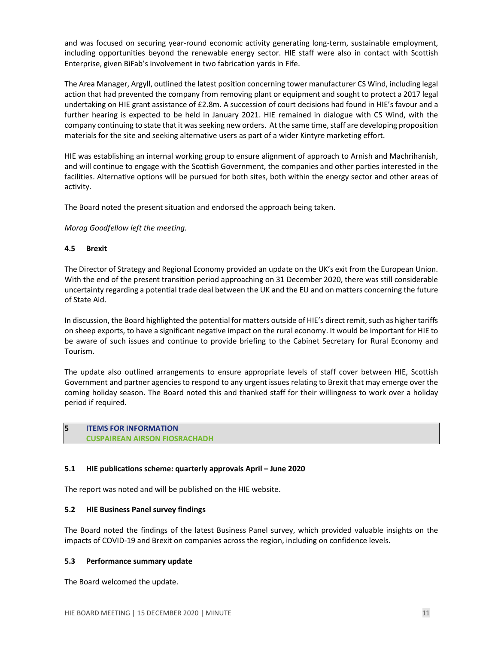and was focused on securing year-round economic activity generating long-term, sustainable employment, including opportunities beyond the renewable energy sector. HIE staff were also in contact with Scottish Enterprise, given BiFab's involvement in two fabrication yards in Fife.

The Area Manager, Argyll, outlined the latest position concerning tower manufacturer CS Wind, including legal action that had prevented the company from removing plant or equipment and sought to protect a 2017 legal undertaking on HIE grant assistance of £2.8m. A succession of court decisions had found in HIE's favour and a further hearing is expected to be held in January 2021. HIE remained in dialogue with CS Wind, with the company continuing to state that it was seeking new orders. At the same time, staff are developing proposition materials for the site and seeking alternative users as part of a wider Kintyre marketing effort.

HIE was establishing an internal working group to ensure alignment of approach to Arnish and Machrihanish, and will continue to engage with the Scottish Government, the companies and other parties interested in the facilities. Alternative options will be pursued for both sites, both within the energy sector and other areas of activity.

The Board noted the present situation and endorsed the approach being taken.

Morag Goodfellow left the meeting.

#### 4.5 Brexit

The Director of Strategy and Regional Economy provided an update on the UK's exit from the European Union. With the end of the present transition period approaching on 31 December 2020, there was still considerable uncertainty regarding a potential trade deal between the UK and the EU and on matters concerning the future of State Aid.

In discussion, the Board highlighted the potential for matters outside of HIE's direct remit, such as higher tariffs on sheep exports, to have a significant negative impact on the rural economy. It would be important for HIE to be aware of such issues and continue to provide briefing to the Cabinet Secretary for Rural Economy and Tourism.

The update also outlined arrangements to ensure appropriate levels of staff cover between HIE, Scottish Government and partner agencies to respond to any urgent issues relating to Brexit that may emerge over the coming holiday season. The Board noted this and thanked staff for their willingness to work over a holiday period if required.

5 ITEMS FOR INFORMATION CUSPAIREAN AIRSON FIOSRACHADH

## 5.1 HIE publications scheme: quarterly approvals April – June 2020

The report was noted and will be published on the HIE website.

## 5.2 HIE Business Panel survey findings

The Board noted the findings of the latest Business Panel survey, which provided valuable insights on the impacts of COVID-19 and Brexit on companies across the region, including on confidence levels.

#### 5.3 Performance summary update

The Board welcomed the update.